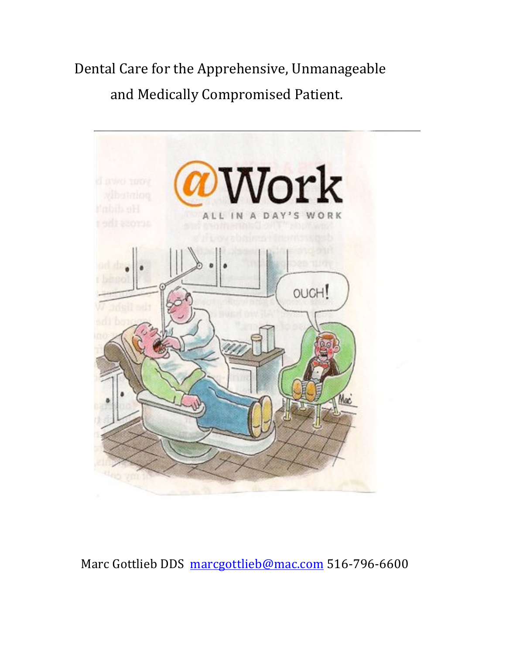Dental Care for the Apprehensive, Unmanageable and Medically Compromised Patient.



Marc Gottlieb DDS marcgottlieb@mac.com 516-796-6600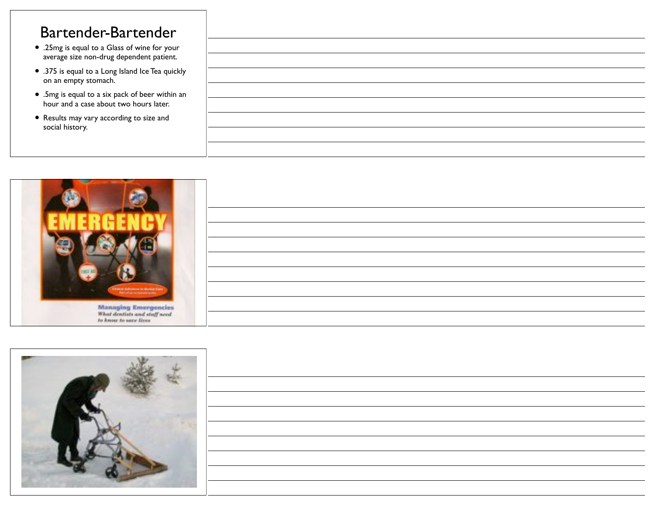### Bartender-Bartender

- .25mg is equal to a Glass of wine for your average size non-drug dependent patient.
- .375 is equal to a Long Island Ice Tea quickly on an empty stomach.
- .5mg is equal to a six pack of beer within an hour and a case about two hours later.
- Results may vary according to size and social history.





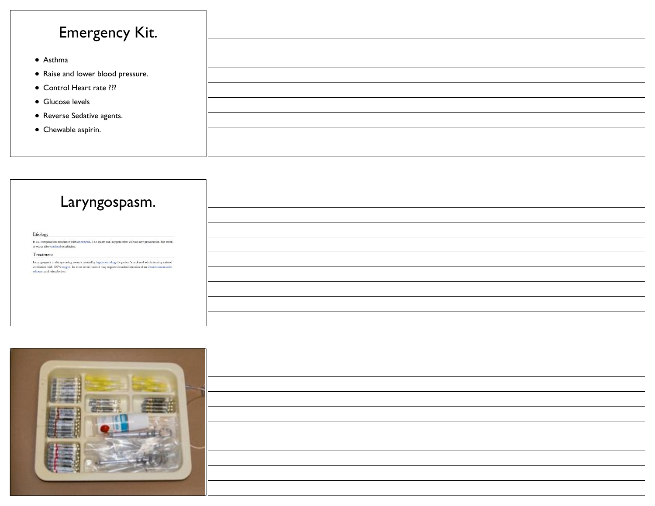## Emergency Kit.

- Asthma
- Raise and lower blood pressure.
- Control Heart rate ???
- Glucose levels
- Reverse Sedative agents.
- Chewable aspirin.



Etiology

It is a complication associated with an<br>esthesia. The spasn can happen often without any provocation, but tends<br> to occur after tracheal extubation.

#### Treatment

Laryngo<br/>pasm in the operating room is treated by hyperextending the patient<br/>'s need and administering assisted ventilation with  $100\%$ <br/>coxygen. In more severe cases it may require the administration of an int



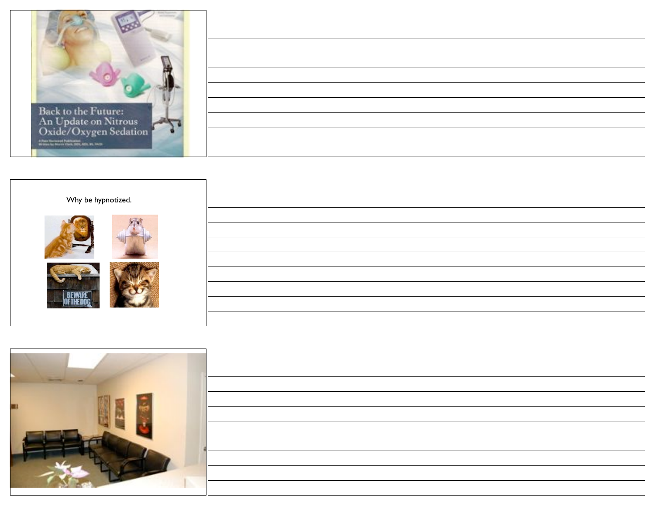

4 Pain Summer Publicans<br>William Price, Milk, M. Pa. Pa. Pa.





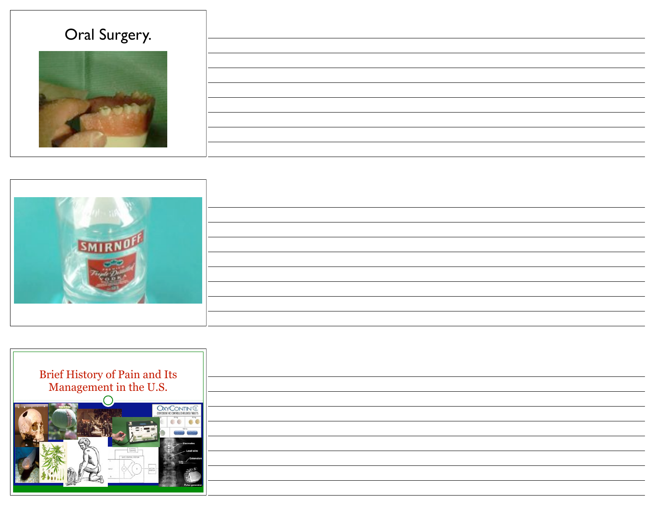## Oral Surgery.







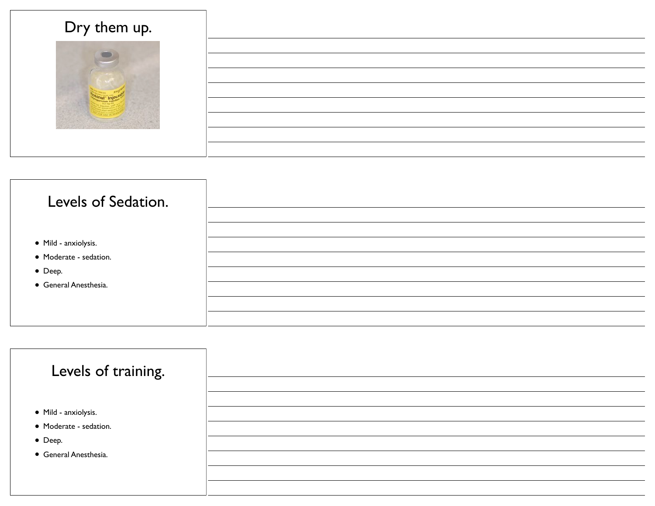| Dry them up. |  |
|--------------|--|
|              |  |
|              |  |
|              |  |
|              |  |



| Levels of training.    |  |
|------------------------|--|
| • Mild - anxiolysis.   |  |
| • Moderate - sedation. |  |
| • Deep.                |  |
| • General Anesthesia.  |  |
|                        |  |
|                        |  |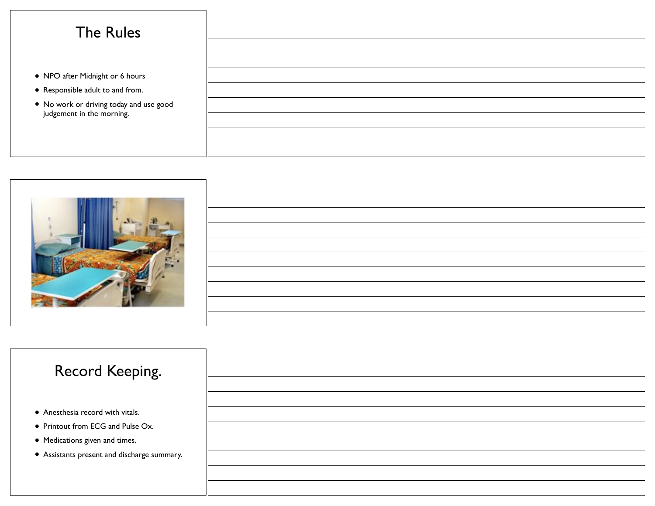## The Rules

- NPO after Midnight or 6 hours
- Responsible adult to and from.
- No work or driving today and use good judgement in the morning.



## Record Keeping.

- Anesthesia record with vitals.
- Printout from ECG and Pulse Ox.
- Medications given and times.
- Assistants present and discharge summary.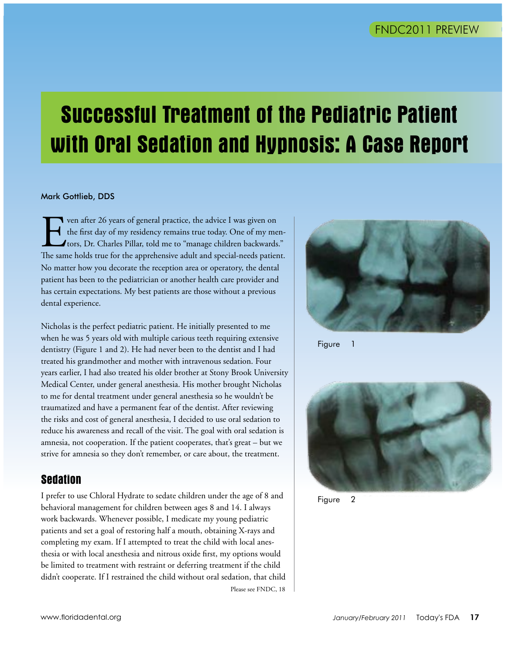## **Successful Treatment of the Pediatric Patient with Oral Sedation and Hypnosis: A Case Report**

#### Mark Gottlieb, DDS

Ven after 26 years of general practice, the advice I was given on the first day of my residency remains true today. One of my metrors, Dr. Charles Pillar, told me to "manage children backwards The same holds true for the a the first day of my residency remains true today. One of my mentors, Dr. Charles Pillar, told me to "manage children backwards." The same holds true for the apprehensive adult and special-needs patient. No matter how you decorate the reception area or operatory, the dental patient has been to the pediatrician or another health care provider and has certain expectations. My best patients are those without a previous dental experience.

Nicholas is the perfect pediatric patient. He initially presented to me when he was 5 years old with multiple carious teeth requiring extensive dentistry (Figure 1 and 2). He had never been to the dentist and I had treated his grandmother and mother with intravenous sedation. Four years earlier, I had also treated his older brother at Stony Brook University Medical Center, under general anesthesia. His mother brought Nicholas to me for dental treatment under general anesthesia so he wouldn't be traumatized and have a permanent fear of the dentist. After reviewing the risks and cost of general anesthesia, I decided to use oral sedation to reduce his awareness and recall of the visit. The goal with oral sedation is amnesia, not cooperation. If the patient cooperates, that's great  $-$  but we strive for amnesia so they don't remember, or care about, the treatment.

#### **Sedation**

I prefer to use Chloral Hydrate to sedate children under the age of 8 and behavioral management for children between ages 8 and 14. I always work backwards. Whenever possible, I medicate my young pediatric patients and set a goal of restoring half a mouth, obtaining X-rays and completing my exam. If I attempted to treat the child with local anesthesia or with local anesthesia and nitrous oxide first, my options would be limited to treatment with restraint or deferring treatment if the child didn't cooperate. If I restrained the child without oral sedation, that child Please see FNDC, 18



**Figure** 



Figure 2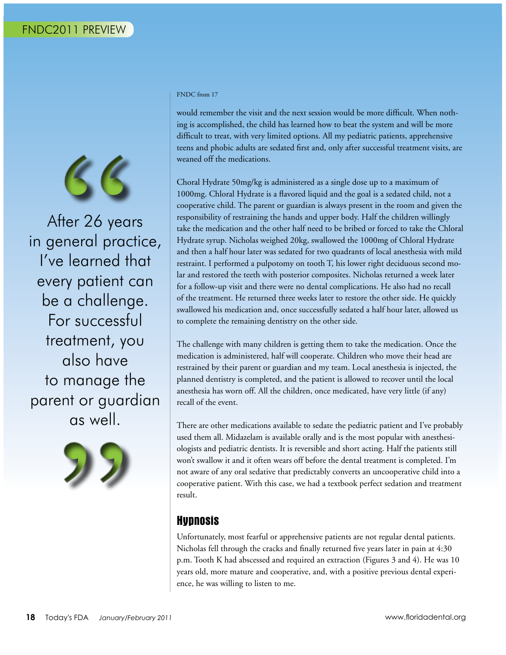

After 26 years in general practice, I've learned that every patient can be a challenge. For successful treatment, you also have to manage the parent or guardian as well.



#### FNDC from 17

would remember the visit and the next session would be more difficult. When nothing is accomplished, the child has learned how to beat the system and will be more difficult to treat, with very limited options. All my pediatric patients, apprehensive teens and phobic adults are sedated first and, only after successful treatment visits, are weaned off the medications.

Choral Hydrate 50mg/kg is administered as a single dose up to a maximum of 1000mg. Chloral Hydrate is a flavored liquid and the goal is a sedated child, not a cooperative child. The parent or guardian is always present in the room and given the responsibility of restraining the hands and upper body. Half the children willingly take the medication and the other half need to be bribed or forced to take the Chloral Hydrate syrup. Nicholas weighed 20kg, swallowed the 1000mg of Chloral Hydrate and then a half hour later was sedated for two quadrants of local anesthesia with mild restraint. I performed a pulpotomy on tooth T, his lower right deciduous second molar and restored the teeth with posterior composites. Nicholas returned a week later for a follow-up visit and there were no dental complications. He also had no recall of the treatment. He returned three weeks later to restore the other side. He quickly swallowed his medication and, once successfully sedated a half hour later, allowed us to complete the remaining dentistry on the other side.

The challenge with many children is getting them to take the medication. Once the medication is administered, half will cooperate. Children who move their head are restrained by their parent or guardian and my team. Local anesthesia is injected, the planned dentistry is completed, and the patient is allowed to recover until the local anesthesia has worn off. All the children, once medicated, have very little (if any) recall of the event.

There are other medications available to sedate the pediatric patient and I've probably used them all. Midazelam is available orally and is the most popular with anesthesiologists and pediatric dentists. It is reversible and short acting. Half the patients still won't swallow it and it often wears off before the dental treatment is completed. I'm not aware of any oral sedative that predictably converts an uncooperative child into a cooperative patient. With this case, we had a textbook perfect sedation and treatment result.

#### **Hypnosis**

Unfortunately, most fearful or apprehensive patients are not regular dental patients. Nicholas fell through the cracks and finally returned five years later in pain at 4:30 p.m. Tooth K had abscessed and required an extraction (Figures 3 and 4). He was 10 years old, more mature and cooperative, and, with a positive previous dental experience, he was willing to listen to me.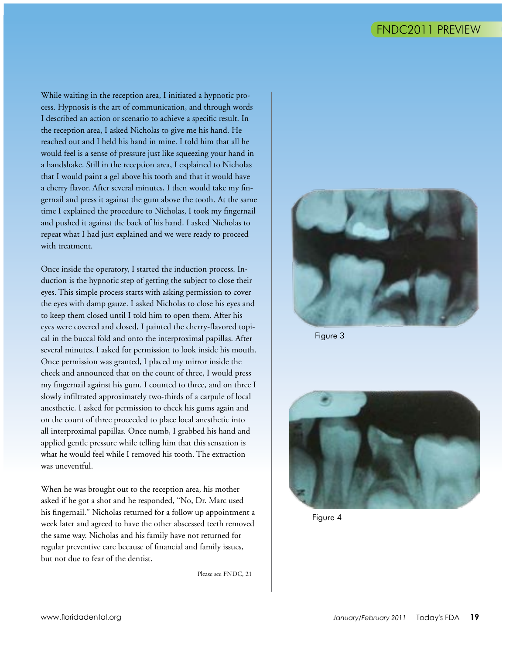While waiting in the reception area, I initiated a hypnotic process. Hypnosis is the art of communication, and through words I described an action or scenario to achieve a specific result. In the reception area, I asked Nicholas to give me his hand. He reached out and I held his hand in mine. I told him that all he would feel is a sense of pressure just like squeezing your hand in a handshake. Still in the reception area, I explained to Nicholas that I would paint a gel above his tooth and that it would have a cherry flavor. After several minutes, I then would take my fingernail and press it against the gum above the tooth. At the same time I explained the procedure to Nicholas, I took my fingernail and pushed it against the back of his hand. I asked Nicholas to repeat what I had just explained and we were ready to proceed with treatment.

Once inside the operatory, I started the induction process. Induction is the hypnotic step of getting the subject to close their eyes. This simple process starts with asking permission to cover the eyes with damp gauze. I asked Nicholas to close his eyes and to keep them closed until I told him to open them. After his eyes were covered and closed, I painted the cherry-flavored topical in the buccal fold and onto the interproximal papillas. After several minutes, I asked for permission to look inside his mouth. Once permission was granted, I placed my mirror inside the cheek and announced that on the count of three, I would press my fingernail against his gum. I counted to three, and on three I slowly infiltrated approximately two-thirds of a carpule of local anesthetic. I asked for permission to check his gums again and on the count of three proceeded to place local anesthetic into all interproximal papillas. Once numb, I grabbed his hand and applied gentle pressure while telling him that this sensation is what he would feel while I removed his tooth. The extraction was uneventful.

When he was brought out to the reception area, his mother asked if he got a shot and he responded, "No, Dr. Marc used his fingernail." Nicholas returned for a follow up appointment a week later and agreed to have the other abscessed teeth removed the same way. Nicholas and his family have not returned for regular preventive care because of financial and family issues, but not due to fear of the dentist.

Please see FNDC, 21



Figure 3



Figure 4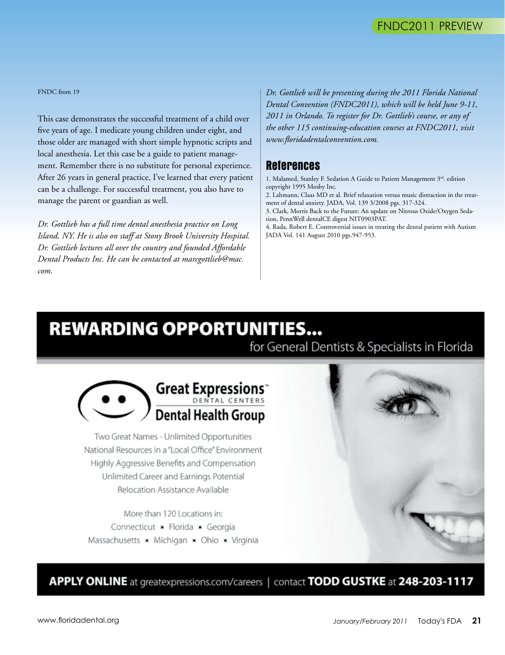FNDC from 19

This case demonstrates the successful treatment of a child over five years of age. I medicate young children under eight, and those older are managed with short simple hypnotic scripts and local anesthesia. Let this case be a guide to patient management. Remember there is no substitute for personal experience. After 26 years in general practice, I've learned that every patient can be a challenge. For successful treatment, you also have to manage the parent or guardian as well.

*Dr. Gottlieb has a full time dental anesthesia practice on Long Island, NY. He is also on staff at Stony Brook University Hospital. Dr. Gottlieb lectures all over the country and founded Affordable Dental Products Inc. He can be contacted at marcgottlieb@mac. com.*

*Dr. Gottlieb will be presenting during the 2011 Florida National Dental Convention (FNDC2011), which will be held June 9-11, 2011 in Orlando. To register for Dr. Gottlieb's course, or any of the other 115 continuing-education courses at FNDC2011, visit www.floridadentalconvention.com.*

#### **References**

1. Malamed, Stanley F. Sedation A Guide to Patient Management 3rd. edition copyright 1995 Mosby Inc.

2. Lahmann, Claas MD et al. Brief relaxation versus music distraction in the treatment of dental anxiety. JADA, Vol. 139 3/2008 pgs. 317-324.

3. Clark, Morris Back to the Future: An update on Nitrous Oxide/Oxygen Sedation, PennWell dentalCE digest NIT0903PAT.

4. Rada, Robert E. Controversial issues in treating the dental patient with Autism JADA Vol. 141 August 2010 pgs.947-953.

## **REWARDING OPPORTUNITIES...**

for General Dentists & Specialists in Florida



Two Great Names - Unlimited Opportunities National Resources in a "Local Office" Environment Highly Aggressive Benefits and Compensation Unlimited Career and Earnings Potential Relocation Assistance Available

More than 120 Locations in: Connecticut × Florida × Georgia Massachusetts  $\times$  Michigan  $\times$  Ohio  $\times$  Virginia



APPLY ONLINE at greatexpressions.com/careers | contact TODD GUSTKE at 248-203-1117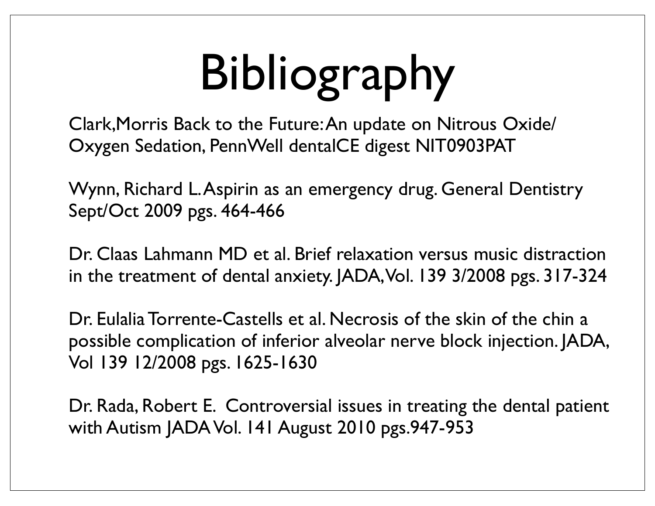# Bibliography

Clark,Morris Back to the Future: An update on Nitrous Oxide/ Oxygen Sedation, PennWell dentalCE digest NIT0903PAT

Wynn, Richard L. Aspirin as an emergency drug. General Dentistry Sept/Oct 2009 pgs. 464-466

Dr. Claas Lahmann MD et al. Brief relaxation versus music distraction in the treatment of dental anxiety. JADA, Vol. 139 3/2008 pgs. 317-324

Dr. Eulalia Torrente-Castells et al. Necrosis of the skin of the chin a possible complication of inferior alveolar nerve block injection. JADA, Vol 139 12/2008 pgs. 1625-1630

Dr. Rada, Robert E. Controversial issues in treating the dental patient with Autism JADA Vol. 141 August 2010 pgs.947-953